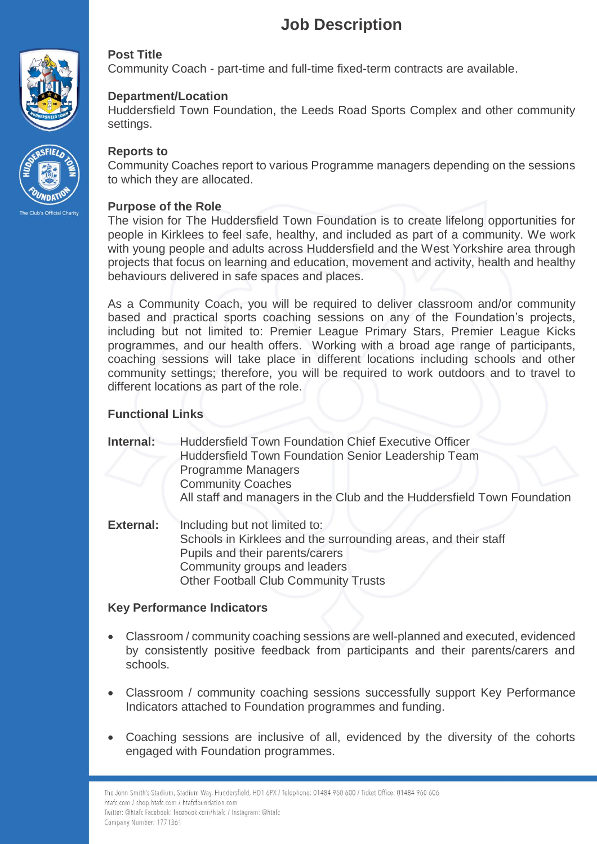# **Job Description**





# **Post Title**

Community Coach - part-time and full-time fixed-term contracts are available.

# **Department/Location**

Huddersfield Town Foundation, the Leeds Road Sports Complex and other community settings.

#### **Reports to**

Community Coaches report to various Programme managers depending on the sessions to which they are allocated.

#### **Purpose of the Role**

The vision for The Huddersfield Town Foundation is to create lifelong opportunities for people in Kirklees to feel safe, healthy, and included as part of a community. We work with young people and adults across Huddersfield and the West Yorkshire area through projects that focus on learning and education, movement and activity, health and healthy behaviours delivered in safe spaces and places.

As a Community Coach, you will be required to deliver classroom and/or community based and practical sports coaching sessions on any of the Foundation's projects, including but not limited to: Premier League Primary Stars, Premier League Kicks programmes, and our health offers. Working with a broad age range of participants, coaching sessions will take place in different locations including schools and other community settings; therefore, you will be required to work outdoors and to travel to different locations as part of the role.

### **Functional Links**

**Internal:** Huddersfield Town Foundation Chief Executive Officer Huddersfield Town Foundation Senior Leadership Team Programme Managers Community Coaches All staff and managers in the Club and the Huddersfield Town Foundation

**External:** Including but not limited to: Schools in Kirklees and the surrounding areas, and their staff Pupils and their parents/carers Community groups and leaders Other Football Club Community Trusts

### **Key Performance Indicators**

I.

- Classroom / community coaching sessions are well-planned and executed, evidenced by consistently positive feedback from participants and their parents/carers and schools.
- Classroom / community coaching sessions successfully support Key Performance Indicators attached to Foundation programmes and funding.
- Coaching sessions are inclusive of all, evidenced by the diversity of the cohorts engaged with Foundation programmes.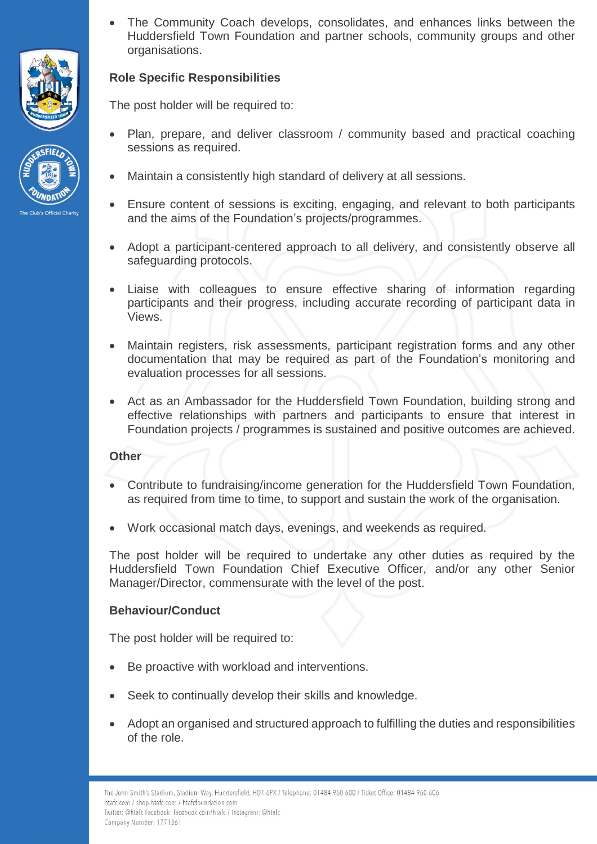



 The Community Coach develops, consolidates, and enhances links between the Huddersfield Town Foundation and partner schools, community groups and other organisations.

# **Role Specific Responsibilities**

The post holder will be required to:

- Plan, prepare, and deliver classroom / community based and practical coaching sessions as required.
- Maintain a consistently high standard of delivery at all sessions.
- Ensure content of sessions is exciting, engaging, and relevant to both participants and the aims of the Foundation's projects/programmes.
- Adopt a participant-centered approach to all delivery, and consistently observe all safeguarding protocols.
- Liaise with colleagues to ensure effective sharing of information regarding participants and their progress, including accurate recording of participant data in Views.
- Maintain registers, risk assessments, participant registration forms and any other documentation that may be required as part of the Foundation's monitoring and evaluation processes for all sessions.
- Act as an Ambassador for the Huddersfield Town Foundation, building strong and effective relationships with partners and participants to ensure that interest in Foundation projects / programmes is sustained and positive outcomes are achieved.

#### **Other**

- Contribute to fundraising/income generation for the Huddersfield Town Foundation, as required from time to time, to support and sustain the work of the organisation.
- Work occasional match days, evenings, and weekends as required.

The post holder will be required to undertake any other duties as required by the Huddersfield Town Foundation Chief Executive Officer, and/or any other Senior Manager/Director, commensurate with the level of the post.

### **Behaviour/Conduct**

The post holder will be required to:

- Be proactive with workload and interventions.
- Seek to continually develop their skills and knowledge.
- Adopt an organised and structured approach to fulfilling the duties and responsibilities of the role.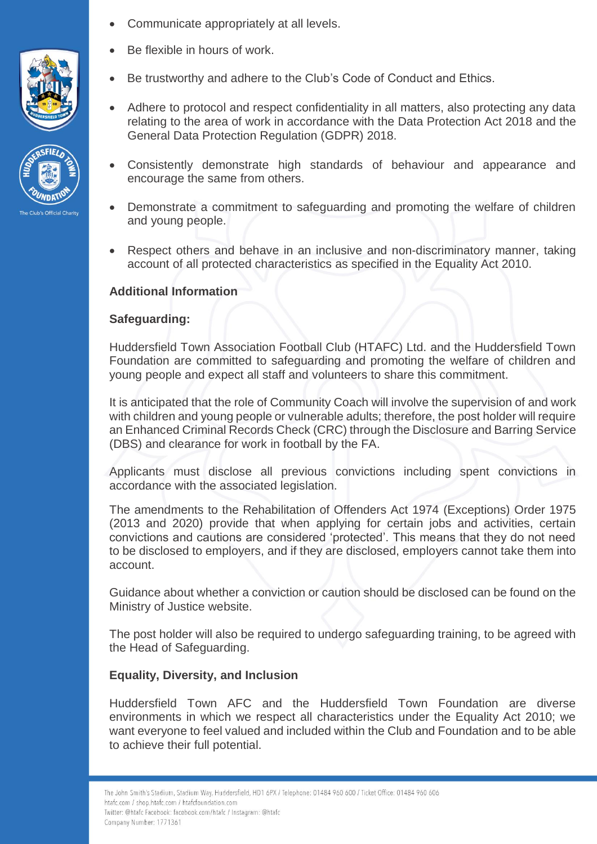- Communicate appropriately at all levels.
- Be flexible in hours of work.
- Be trustworthy and adhere to the Club's Code of Conduct and Ethics.
- Adhere to protocol and respect confidentiality in all matters, also protecting any data relating to the area of work in accordance with the Data Protection Act 2018 and the General Data Protection Regulation (GDPR) 2018.
- Consistently demonstrate high standards of behaviour and appearance and encourage the same from others.
- Demonstrate a commitment to safeguarding and promoting the welfare of children and young people.
- Respect others and behave in an inclusive and non-discriminatory manner, taking account of all protected characteristics as specified in the Equality Act 2010.

# **Additional Information**

# **Safeguarding:**

Huddersfield Town Association Football Club (HTAFC) Ltd. and the Huddersfield Town Foundation are committed to safeguarding and promoting the welfare of children and young people and expect all staff and volunteers to share this commitment.

It is anticipated that the role of Community Coach will involve the supervision of and work with children and young people or vulnerable adults; therefore, the post holder will require an Enhanced Criminal Records Check (CRC) through the Disclosure and Barring Service (DBS) and clearance for work in football by the FA.

Applicants must disclose all previous convictions including spent convictions in accordance with the associated legislation.

The amendments to the Rehabilitation of Offenders Act 1974 (Exceptions) Order 1975 (2013 and 2020) provide that when applying for certain jobs and activities, certain convictions and cautions are considered 'protected'. This means that they do not need to be disclosed to employers, and if they are disclosed, employers cannot take them into account.

Guidance about whether a conviction or caution should be disclosed can be found on the Ministry of Justice website.

The post holder will also be required to undergo safeguarding training, to be agreed with the Head of Safeguarding.

### **Equality, Diversity, and Inclusion**

Huddersfield Town AFC and the Huddersfield Town Foundation are diverse environments in which we respect all characteristics under the Equality Act 2010; we want everyone to feel valued and included within the Club and Foundation and to be able to achieve their full potential.



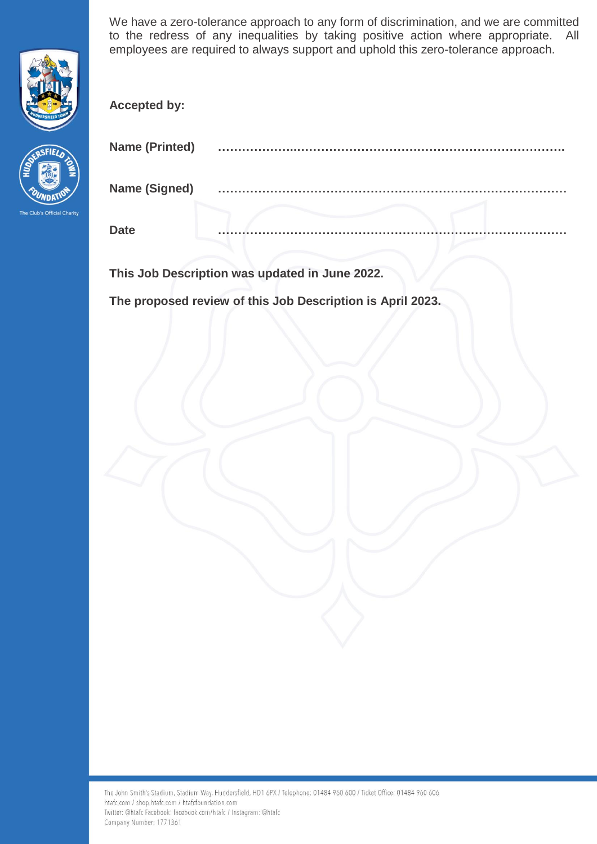

We have a zero-tolerance approach to any form of discrimination, and we are committed to the redress of any inequalities by taking positive action where appropriate. All employees are required to always support and uphold this zero-tolerance approach.

**Accepted by:**



| <b>Name (Printed)</b> | . .         |
|-----------------------|-------------|
| <b>Name (Signed)</b>  | <b>A</b> 10 |
| <b>Date</b>           |             |

**This Job Description was updated in June 2022.**

**The proposed review of this Job Description is April 2023.**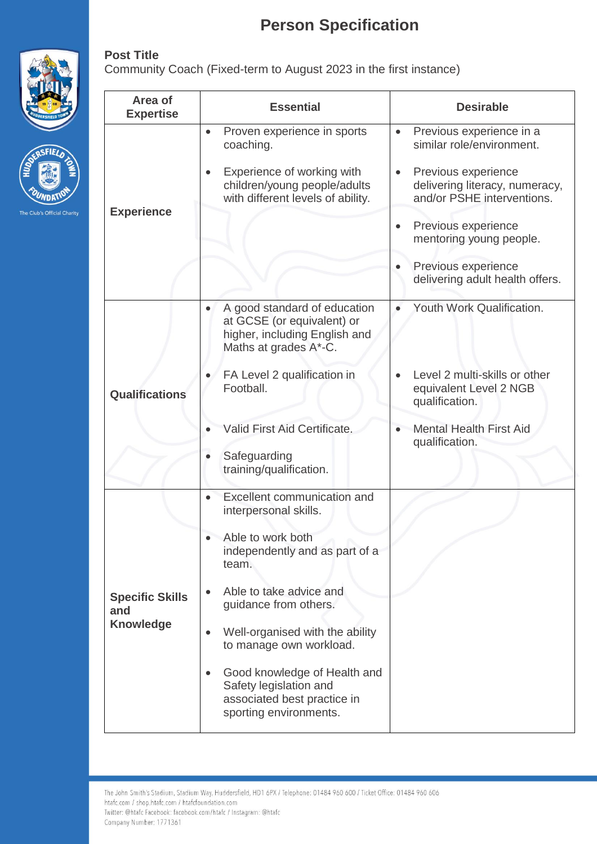# **Person Specification**

Community Coach (Fixed-term to August 2023 in the first instance)



**Post Title**



The Club's Official Charity

| Area of<br><b>Expertise</b>                       | <b>Essential</b>                                                                                                                                                                                                                                                                                                                                                                                 | <b>Desirable</b>                                                                                                                                                                                                                                                                                |
|---------------------------------------------------|--------------------------------------------------------------------------------------------------------------------------------------------------------------------------------------------------------------------------------------------------------------------------------------------------------------------------------------------------------------------------------------------------|-------------------------------------------------------------------------------------------------------------------------------------------------------------------------------------------------------------------------------------------------------------------------------------------------|
| <b>Experience</b>                                 | Proven experience in sports<br>$\bullet$<br>coaching.<br>Experience of working with<br>children/young people/adults<br>with different levels of ability.                                                                                                                                                                                                                                         | Previous experience in a<br>$\bullet$<br>similar role/environment.<br>Previous experience<br>$\bullet$<br>delivering literacy, numeracy,<br>and/or PSHE interventions.<br>Previous experience<br>$\bullet$<br>mentoring young people.<br>Previous experience<br>delivering adult health offers. |
| <b>Qualifications</b>                             | A good standard of education<br>$\bullet$<br>at GCSE (or equivalent) or<br>higher, including English and<br>Maths at grades A*-C.<br>FA Level 2 qualification in<br>Football.<br>Valid First Aid Certificate.<br>Safeguarding<br>training/qualification.                                                                                                                                         | Youth Work Qualification.<br>$\bullet$<br>Level 2 multi-skills or other<br>equivalent Level 2 NGB<br>qualification.<br><b>Mental Health First Aid</b><br>qualification.                                                                                                                         |
| <b>Specific Skills</b><br>and<br><b>Knowledge</b> | Excellent communication and<br>$\bullet$<br>interpersonal skills.<br>Able to work both<br>independently and as part of a<br>team.<br>Able to take advice and<br>$\bullet$<br>guidance from others.<br>Well-organised with the ability<br>$\bullet$<br>to manage own workload.<br>Good knowledge of Health and<br>Safety legislation and<br>associated best practice in<br>sporting environments. |                                                                                                                                                                                                                                                                                                 |